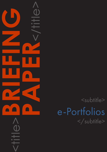<subtitle> e-Portfolios </subtitle>

<title>**BRIEFING**

**PAPER**<br>CONSTRAINS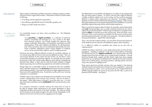### CAPDM Ltd. CAPDM Ltd.

Introduction There is plenty of talk about portfolios and many conference papers on them, with lots of tools to support their creation. These seem to fall into a small number of offerings:

- •CV building and job application preparation;
- •Tools offering a glorified file store for Word files, graphics, etc.
- •Things we couldn't really see value in.

It is worthwhile trying to pin down what e-portfolios are. The Wikipedia definition reads:

> "an e-portfolio or digital portfolio, is a collection of electronic evidence assembled and managed by a user, usually on the Web. Such electronic evidence may include inputted text, electronic files, images, multimedia, blog entries, and hyperlinks. E-portfolios are both demonstrations of the user's abilities and platforms for self-expression, and, if they are online, they can be maintained dynamically over time. Some e-portfolio applications permit varying degrees of audience access, so the same portfolio might be used for multiple purposes."

Everyone may have a different definition of what an e-portfolio might be, so it is actually quite difficult to find a hard and fast definition for them. Their use and purpose depends on the context and aims of their use, but there is some commonality emerging as to what they might be. For example, they are created by learners so they can include simple reflective inputs (which is probably the dominant form taken), or they may be wide and varied collection of digital objects expressing views and learning experiences and student achievements.

Though there are a reasonable number of commercial tools now available, there is still little consensus on the **processes** that learners may be involved in when building portfolios. If we were to be unkind we might suggest that many of these tools are but glorified file stores. Surely there must be some more 'learning orientation' to e-portfolios?

CAPDM is keen to be involved in the development of e-portfolios, but we need a better understanding of how learners may use them. We are not alone in this respect. What does interest us though, is more than their use -- it is also about how best e-portfolios can be **embedded** within courses and the course materials.

As a company immersed in semantic mark-up this means that we have to be able to present simple mechanisms to the content developers to allow meaningful portfolio input points to be freely included. The mark-up utilised for this purpose must be simple enough to be used, but the interpretation in the delivery environment must be powerful, engaging and meaningful.

Where to start?

The effectiveness of e-portfolios will depend to an extent on the subjects that they are being used to support. It's hard to see how they might be effective in highly analytical subjects such as Accounting, but they could be extremely effective in subjects where observations are important. Fortunately CAPDM develops courses in Fitness and Exercise (see [Kilgore Academy](https://ka.opuslearn.net/)). These courses offer great opportunity to include and experiment with e-portfolios in a way that absolutely supports learning and the overall student experience.

These courses have a large number of videos, for example, used to demonstrate right and wrong technique, how to make coaching inclusive for all, and to explain the very technical detail. With this type of material it is valuable to have students **reflect** on what they see as they are learning. At the end of the course, if the aims of the course have been successfully met, their powers of observation should be greatly enhanced, and able to be compared – through the details in the personal portfolios – against their initial thoughts.

Tutors, who share the student portfolios, can also follow the learning experience of the students and can intervene with additional support where necessary.

If it is difficult to define an e-portfolio then where do we start with an implementation?

CAPDM has taken a lead from a very simple process that we have all been engaged in – building a workbook. In the case of online delivery of learning this will take the form of a **digital workbook**, but it should contain all of the standard input forms that we might use in a paper-based workbook. It should hold free thought (text), images and files (which might have been snippets pasted into our conventional workbook) and it should record more structured inputs such as ticking boxes, answering questions, selecting options and even using coloured pens to highlight points.

These inputs should be included wherever they are needed in the learning materials and they should be easy and obvious in their application. Inputs are only of use if they are usable. In our case they build up into a Digital Work Book (DWB) which the student can access at any point over the web, or print as an electronic (PDF) booklet – see Figure 1.

# So what is an e-portfolio?